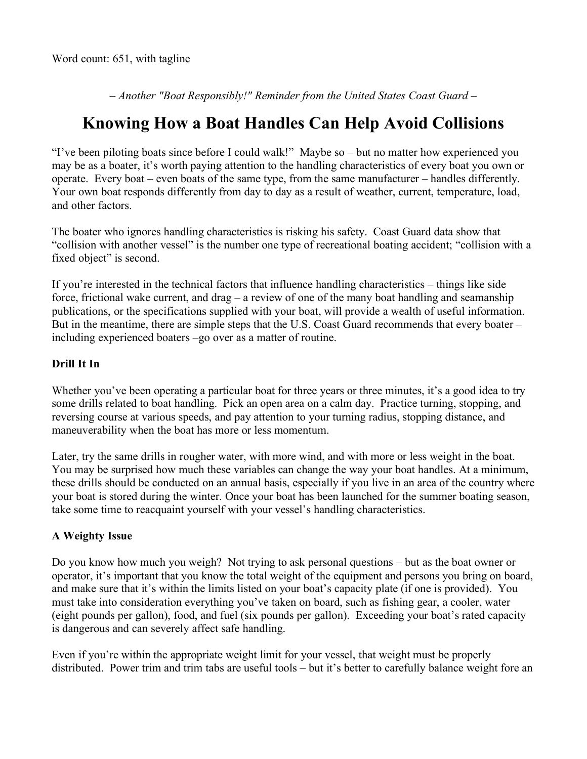*– Another "Boat Responsibly!" Reminder from the United States Coast Guard –*

## **Knowing How a Boat Handles Can Help Avoid Collisions**

"I've been piloting boats since before I could walk!" Maybe so – but no matter how experienced you may be as a boater, it's worth paying attention to the handling characteristics of every boat you own or operate. Every boat – even boats of the same type, from the same manufacturer – handles differently. Your own boat responds differently from day to day as a result of weather, current, temperature, load, and other factors.

The boater who ignores handling characteristics is risking his safety. Coast Guard data show that "collision with another vessel" is the number one type of recreational boating accident; "collision with a fixed object" is second.

If you're interested in the technical factors that influence handling characteristics – things like side force, frictional wake current, and drag – a review of one of the many boat handling and seamanship publications, or the specifications supplied with your boat, will provide a wealth of useful information. But in the meantime, there are simple steps that the U.S. Coast Guard recommends that every boater – including experienced boaters –go over as a matter of routine.

## **Drill It In**

Whether you've been operating a particular boat for three years or three minutes, it's a good idea to try some drills related to boat handling. Pick an open area on a calm day. Practice turning, stopping, and reversing course at various speeds, and pay attention to your turning radius, stopping distance, and maneuverability when the boat has more or less momentum.

Later, try the same drills in rougher water, with more wind, and with more or less weight in the boat. You may be surprised how much these variables can change the way your boat handles. At a minimum, these drills should be conducted on an annual basis, especially if you live in an area of the country where your boat is stored during the winter. Once your boat has been launched for the summer boating season, take some time to reacquaint yourself with your vessel's handling characteristics.

## **A Weighty Issue**

Do you know how much you weigh? Not trying to ask personal questions – but as the boat owner or operator, it's important that you know the total weight of the equipment and persons you bring on board, and make sure that it's within the limits listed on your boat's capacity plate (if one is provided). You must take into consideration everything you've taken on board, such as fishing gear, a cooler, water (eight pounds per gallon), food, and fuel (six pounds per gallon). Exceeding your boat's rated capacity is dangerous and can severely affect safe handling.

Even if you're within the appropriate weight limit for your vessel, that weight must be properly distributed. Power trim and trim tabs are useful tools – but it's better to carefully balance weight fore an